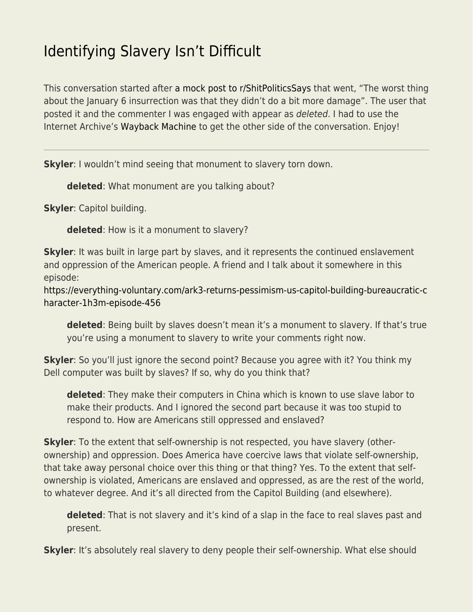## [Identifying Slavery Isn't Difficult](https://everything-voluntary.com/identifying-slavery-isnt-difficult)

This conversation started after [a mock post to r/ShitPoliticsSays](https://www.reddit.com/r/ShitPoliticsSays/comments/qcndsg/the_worst_thing_about_the_january_6_insurrection/) that went, "The worst thing about the January 6 insurrection was that they didn't do a bit more damage". The user that posted it and the commenter I was engaged with appear as deleted. I had to use the Internet Archive's [Wayback Machine](https://web.archive.org/web/) to get the other side of the conversation. Enjoy!

**Skyler**: I wouldn't mind seeing that monument to slavery torn down.

**deleted**: What monument are you talking about?

**Skyler**: Capitol building.

**deleted**: How is it a monument to slavery?

**Skyler**: It was built in large part by slaves, and it represents the continued enslavement and oppression of the American people. A friend and I talk about it somewhere in this episode:

[https://everything-voluntary.com/ark3-returns-pessimism-us-capitol-building-bureaucratic-c](https://everything-voluntary.com/ark3-returns-pessimism-us-capitol-building-bureaucratic-character-1h3m-episode-456) [haracter-1h3m-episode-456](https://everything-voluntary.com/ark3-returns-pessimism-us-capitol-building-bureaucratic-character-1h3m-episode-456)

**deleted**: Being built by slaves doesn't mean it's a monument to slavery. If that's true you're using a monument to slavery to write your comments right now.

**Skyler**: So you'll just ignore the second point? Because you agree with it? You think my Dell computer was built by slaves? If so, why do you think that?

**deleted**: They make their computers in China which is known to use slave labor to make their products. And I ignored the second part because it was too stupid to respond to. How are Americans still oppressed and enslaved?

**Skyler**: To the extent that self-ownership is not respected, you have slavery (otherownership) and oppression. Does America have coercive laws that violate self-ownership, that take away personal choice over this thing or that thing? Yes. To the extent that selfownership is violated, Americans are enslaved and oppressed, as are the rest of the world, to whatever degree. And it's all directed from the Capitol Building (and elsewhere).

**deleted**: That is not slavery and it's kind of a slap in the face to real slaves past and present.

**Skyler**: It's absolutely real slavery to deny people their self-ownership. What else should